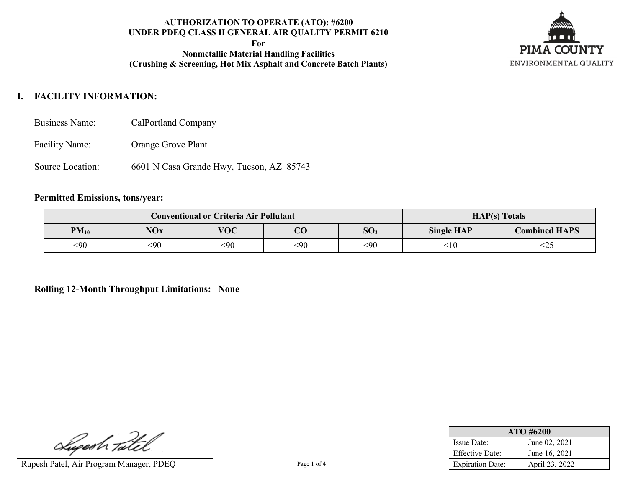**For**

**Nonmetallic Material Handling Facilities (Crushing & Screening, Hot Mix Asphalt and Concrete Batch Plants)**



# **I. FACILITY INFORMATION:**

- Business Name: CalPortland Company
- Facility Name: Orange Grove Plant
- Source Location: 6601 N Casa Grande Hwy, Tucson, AZ 85743

#### **Permitted Emissions, tons/year:**

|           | <b>Conventional or Criteria Air Pollutant</b>  | <b>HAP(s)</b> Totals |     |                                           |        |     |
|-----------|------------------------------------------------|----------------------|-----|-------------------------------------------|--------|-----|
| $PM_{10}$ | <b>VOC</b><br>NOx<br>SO <sub>2</sub><br>$\sim$ |                      |     | <b>Combined HAPS</b><br><b>Single HAP</b> |        |     |
| <90       | <90                                            | <90                  | <90 | $90$                                      | $<$ 10 | <2: |

#### **Rolling 12-Month Throughput Limitations: None**

Lupesh Tatel

Rupesh Patel, Air Program Manager, PDEQ Page 1 of 4

| $ATO$ #6200             |                |  |  |  |
|-------------------------|----------------|--|--|--|
| <b>Issue Date:</b>      | June 02, 2021  |  |  |  |
| <b>Effective Date:</b>  | June 16, 2021  |  |  |  |
| <b>Expiration Date:</b> | April 23, 2022 |  |  |  |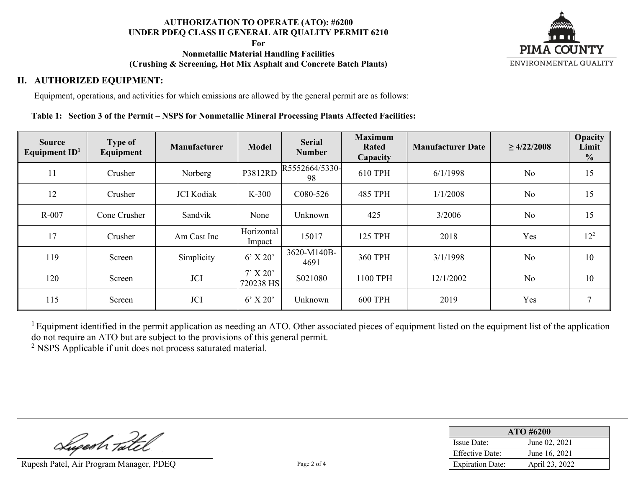**For**

## **Nonmetallic Material Handling Facilities (Crushing & Screening, Hot Mix Asphalt and Concrete Batch Plants)**



## **II. AUTHORIZED EQUIPMENT:**

Equipment, operations, and activities for which emissions are allowed by the general permit are as follows:

#### **Table 1: Section 3 of the Permit – NSPS for Nonmetallic Mineral Processing Plants Affected Facilities:**

| <b>Source</b><br>Equipment $ID1$ | <b>Type of</b><br>Equipment | Manufacturer      | <b>Model</b>            | <b>Serial</b><br><b>Number</b> | <b>Maximum</b><br>Rated<br>Capacity | <b>Manufacturer Date</b> | $\geq 4/22/2008$ | Opacity<br>Limit<br>$\frac{0}{0}$ |
|----------------------------------|-----------------------------|-------------------|-------------------------|--------------------------------|-------------------------------------|--------------------------|------------------|-----------------------------------|
| 11                               | Crusher                     | Norberg           | P3812RD                 | R5552664/5330-<br>98           | 610 TPH                             | 6/1/1998                 | N <sub>o</sub>   | 15                                |
| 12                               | Crusher                     | <b>JCI</b> Kodiak | $K-300$                 | C <sub>0</sub> 80-526          | <b>485 TPH</b>                      | 1/1/2008                 | No               | 15                                |
| $R-007$                          | Cone Crusher                | Sandvik           | None                    | Unknown                        | 425                                 | 3/2006                   | No               | 15                                |
| 17                               | Crusher                     | Am Cast Inc       | Horizontal<br>Impact    | 15017                          | 125 TPH                             | 2018                     | Yes              | $12^{2}$                          |
| 119                              | Screen                      | Simplicity        | $6'$ X 20'              | 3620-M140B-<br>4691            | 360 TPH                             | 3/1/1998                 | N <sub>o</sub>   | 10                                |
| 120                              | Screen                      | <b>JCI</b>        | $7'$ X 20'<br>720238 HS | S021080                        | 1100 TPH                            | 12/1/2002                | No               | 10                                |
| 115                              | Screen                      | <b>JCI</b>        | $6'$ X 20'              | Unknown                        | <b>600 TPH</b>                      | 2019                     | Yes              | 7                                 |

 $1$  Equipment identified in the permit application as needing an ATO. Other associated pieces of equipment listed on the equipment list of the application do not require an ATO but are subject to the provisions of this general permit.

<sup>2</sup> NSPS Applicable if unit does not process saturated material.

Superh Tatel

Rupesh Patel, Air Program Manager, PDEQ Page 2 of 4

| $ATO$ #6200             |                |  |  |  |
|-------------------------|----------------|--|--|--|
| Issue Date:             | June 02, 2021  |  |  |  |
| Effective Date:         | June 16, 2021  |  |  |  |
| <b>Expiration Date:</b> | April 23, 2022 |  |  |  |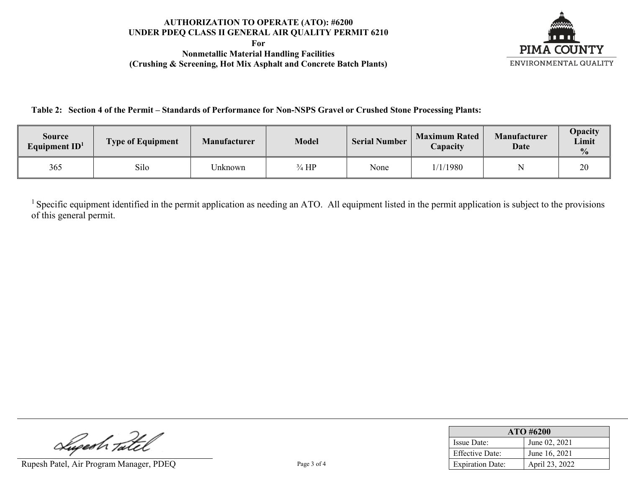**For Nonmetallic Material Handling Facilities (Crushing & Screening, Hot Mix Asphalt and Concrete Batch Plants)**



**Table 2: Section 4 of the Permit – Standards of Performance for Non-NSPS Gravel or Crushed Stone Processing Plants:**

| Source<br>Equipment $ID1$ | <b>Type of Equipment</b> | <b>Manufacturer</b> | <b>Model</b>     | <b>Serial Number</b> | <b>Maximum Rated</b><br><i>Capacity</i> | <b>Manufacturer</b><br><b>Date</b> | <b>Opacity</b><br><b>Limit</b><br>$\frac{0}{0}$ |
|---------------------------|--------------------------|---------------------|------------------|----------------------|-----------------------------------------|------------------------------------|-------------------------------------------------|
| 365                       | Silo                     | Jnknown             | $\frac{3}{4}$ HP | None                 | 1/1/1980                                |                                    | 20                                              |

<sup>1</sup> Specific equipment identified in the permit application as needing an ATO. All equipment listed in the permit application is subject to the provisions of this general permit.

Superh Tatel

Rupesh Patel, Air Program Manager, PDEQ Page 3 of 4

| $ATO$ #6200             |                |  |  |  |
|-------------------------|----------------|--|--|--|
| Issue Date:             | June 02, 2021  |  |  |  |
| <b>Effective Date:</b>  | June 16, 2021  |  |  |  |
| <b>Expiration Date:</b> | April 23, 2022 |  |  |  |